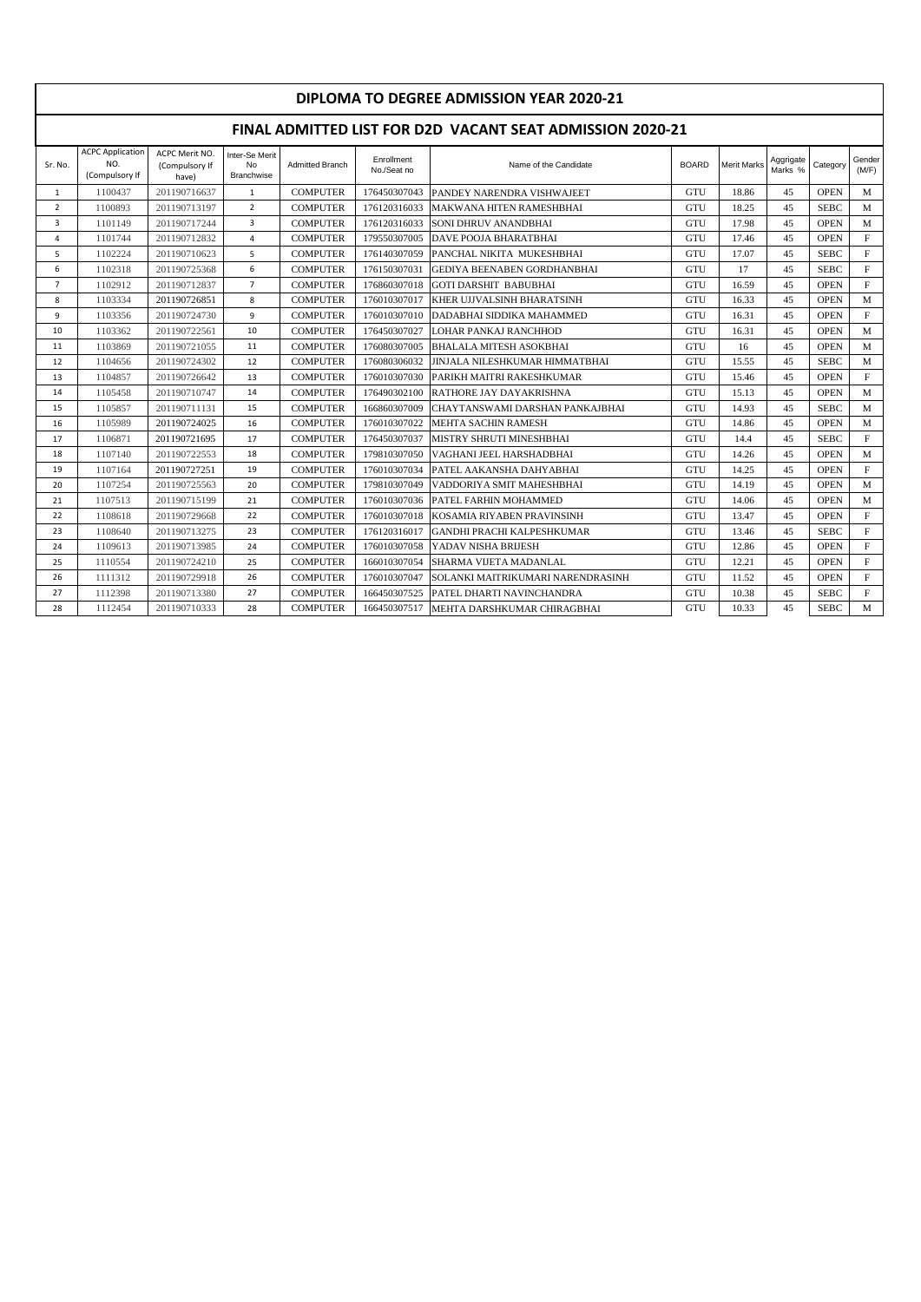| DIPLOMA TO DEGREE ADMISSION YEAR 2020-21 |                                                           |                                           |                                                  |                        |                           |                                       |              |                    |                      |             |                 |  |  |  |
|------------------------------------------|-----------------------------------------------------------|-------------------------------------------|--------------------------------------------------|------------------------|---------------------------|---------------------------------------|--------------|--------------------|----------------------|-------------|-----------------|--|--|--|
|                                          | FINAL ADMITTED LIST FOR D2D VACANT SEAT ADMISSION 2020-21 |                                           |                                                  |                        |                           |                                       |              |                    |                      |             |                 |  |  |  |
| Sr. No.                                  | <b>ACPC Application</b><br>NO.<br>(Compulsory If          | ACPC Merit NO.<br>(Compulsory If<br>have) | Inter-Se Merit<br><b>No</b><br><b>Branchwise</b> | <b>Admitted Branch</b> | Enrollment<br>No./Seat no | Name of the Candidate                 | <b>BOARD</b> | <b>Merit Marks</b> | Aggrigate<br>Marks % | Category    | Gender<br>(M/F) |  |  |  |
| $\mathbf{1}$                             | 1100437                                                   | 201190716637                              | $\mathbf{1}$                                     | <b>COMPUTER</b>        | 176450307043              | PANDEY NARENDRA VISHWAJEET            | <b>GTU</b>   | 18.86              | 45                   | <b>OPEN</b> | M               |  |  |  |
| $\overline{2}$                           | 1100893                                                   | 201190713197                              | $\overline{2}$                                   | <b>COMPUTER</b>        | 176120316033              | MAKWANA HITEN RAMESHBHAI              | <b>GTU</b>   | 18.25              | 45                   | <b>SEBC</b> | M               |  |  |  |
| 3                                        | 1101149                                                   | 201190717244                              | $\overline{3}$                                   | <b>COMPUTER</b>        | 176120316033              | SONI DHRUV ANANDBHAI                  | <b>GTU</b>   | 17.98              | 45                   | <b>OPEN</b> | M               |  |  |  |
| 4                                        | 1101744                                                   | 201190712832                              | $\overline{a}$                                   | <b>COMPUTER</b>        | 179550307005              | DAVE POOJA BHARATBHAI                 | <b>GTU</b>   | 17.46              | 45                   | <b>OPEN</b> | $\mathbf F$     |  |  |  |
| 5                                        | 1102224                                                   | 201190710623                              | 5                                                | <b>COMPUTER</b>        | 176140307059              | PANCHAL NIKITA MUKESHBHAI             | <b>GTU</b>   | 17.07              | 45                   | <b>SEBC</b> | $\mathbf{F}$    |  |  |  |
| 6                                        | 1102318                                                   | 201190725368                              | 6                                                | <b>COMPUTER</b>        | 176150307031              | <b>GEDIYA BEENABEN GORDHANBHAI</b>    | <b>GTU</b>   | 17                 | 45                   | <b>SEBC</b> | $\mathbf{F}$    |  |  |  |
| $\overline{7}$                           | 1102912                                                   | 201190712837                              | $\overline{7}$                                   | <b>COMPUTER</b>        | 176860307018              | <b>GOTI DARSHIT BABUBHAI</b>          | <b>GTU</b>   | 16.59              | 45                   | <b>OPEN</b> | $\mathbf{F}$    |  |  |  |
| 8                                        | 1103334                                                   | 201190726851                              | 8                                                | <b>COMPUTER</b>        | 176010307017              | KHER UJJVALSINH BHARATSINH            | GTU          | 16.33              | 45                   | <b>OPEN</b> | M               |  |  |  |
| 9                                        | 1103356                                                   | 201190724730                              | 9                                                | <b>COMPUTER</b>        | 176010307010              | DADABHAI SIDDIKA MAHAMMED             | <b>GTU</b>   | 16.31              | 45                   | <b>OPEN</b> | $\mathbf{F}$    |  |  |  |
| 10                                       | 1103362                                                   | 201190722561                              | 10                                               | <b>COMPUTER</b>        | 176450307027              | <b>LOHAR PANKAJ RANCHHOD</b>          | GTU          | 16.31              | 45                   | <b>OPEN</b> | M               |  |  |  |
| 11                                       | 1103869                                                   | 201190721055                              | 11                                               | <b>COMPUTER</b>        | 176080307005              | <b>BHALALA MITESH ASOKBHAI</b>        | <b>GTU</b>   | 16                 | 45                   | <b>OPEN</b> | M               |  |  |  |
| 12                                       | 1104656                                                   | 201190724302                              | 12                                               | <b>COMPUTER</b>        | 176080306032              | <b>JINJALA NILESHKUMAR HIMMATBHAI</b> | <b>GTU</b>   | 15.55              | 45                   | <b>SEBC</b> | M               |  |  |  |
| 13                                       | 1104857                                                   | 201190726642                              | 13                                               | <b>COMPUTER</b>        | 176010307030              | PARIKH MAITRI RAKESHKUMAR             | GTU          | 15.46              | 45                   | <b>OPEN</b> | $\mathbf{F}$    |  |  |  |
| 14                                       | 1105458                                                   | 201190710747                              | 14                                               | <b>COMPUTER</b>        | 176490302100              | RATHORE JAY DAYAKRISHNA               | <b>GTU</b>   | 15.13              | 45                   | <b>OPEN</b> | M               |  |  |  |
| 15                                       | 1105857                                                   | 201190711131                              | 15                                               | <b>COMPUTER</b>        | 166860307009              | CHAYTANSWAMI DARSHAN PANKAJBHAI       | <b>GTU</b>   | 14.93              | 45                   | <b>SEBC</b> | M               |  |  |  |
| 16                                       | 1105989                                                   | 201190724025                              | 16                                               | <b>COMPUTER</b>        | 176010307022              | <b>MEHTA SACHIN RAMESH</b>            | <b>GTU</b>   | 14.86              | 45                   | <b>OPEN</b> | M               |  |  |  |
| 17                                       | 1106871                                                   | 201190721695                              | 17                                               | <b>COMPUTER</b>        | 176450307037              | MISTRY SHRUTI MINESHBHAI              | <b>GTU</b>   | 14.4               | 45                   | <b>SEBC</b> | $\mathbf{F}$    |  |  |  |
| 18                                       | 1107140                                                   | 201190722553                              | 18                                               | <b>COMPUTER</b>        | 179810307050              | VAGHANI JEEL HARSHADBHAI              | <b>GTU</b>   | 14.26              | 45                   | <b>OPEN</b> | M               |  |  |  |
| 19                                       | 1107164                                                   | 201190727251                              | 19                                               | <b>COMPUTER</b>        | 176010307034              | PATEL AAKANSHA DAHYABHAI              | <b>GTU</b>   | 14.25              | 45                   | <b>OPEN</b> | $\mathbf F$     |  |  |  |
| 20                                       | 1107254                                                   | 201190725563                              | 20                                               | <b>COMPUTER</b>        | 179810307049              | VADDORIYA SMIT MAHESHBHAI             | <b>GTU</b>   | 14.19              | 45                   | <b>OPEN</b> | M               |  |  |  |
| 21                                       | 1107513                                                   | 201190715199                              | 21                                               | <b>COMPUTER</b>        | 176010307036              | <b>PATEL FARHIN MOHAMMED</b>          | <b>GTU</b>   | 14.06              | 45                   | <b>OPEN</b> | M               |  |  |  |
| 22                                       | 1108618                                                   | 201190729668                              | 22                                               | <b>COMPUTER</b>        | 176010307018              | KOSAMIA RIYABEN PRAVINSINH            | GTU          | 13.47              | 45                   | <b>OPEN</b> | $\mathbf{F}$    |  |  |  |
| 23                                       | 1108640                                                   | 201190713275                              | 23                                               | <b>COMPUTER</b>        | 176120316017              | <b>GANDHI PRACHI KALPESHKUMAR</b>     | <b>GTU</b>   | 13.46              | 45                   | <b>SEBC</b> | $\mathbf{F}$    |  |  |  |
| 24                                       | 1109613                                                   | 201190713985                              | 24                                               | <b>COMPUTER</b>        | 176010307058              | YADAV NISHA BRIJESH                   | GTU          | 12.86              | 45                   | <b>OPEN</b> | $\mathbf F$     |  |  |  |
| 25                                       | 1110554                                                   | 201190724210                              | 25                                               | <b>COMPUTER</b>        | 166010307054              | SHARMA VIJETA MADANLAL                | <b>GTU</b>   | 12.21              | 45                   | <b>OPEN</b> | $\mathbf F$     |  |  |  |
| 26                                       | 1111312                                                   | 201190729918                              | 26                                               | <b>COMPUTER</b>        | 176010307047              | SOLANKI MAITRIKUMARI NARENDRASINH     | <b>GTU</b>   | 11.52              | 45                   | <b>OPEN</b> | $\mathbf F$     |  |  |  |
| 27                                       | 1112398                                                   | 201190713380                              | 27                                               | <b>COMPUTER</b>        | 166450307525              | PATEL DHARTI NAVINCHANDRA             | <b>GTU</b>   | 10.38              | 45                   | <b>SEBC</b> | $\mathbf{F}$    |  |  |  |
| 28                                       | 1112454                                                   | 201190710333                              | 28                                               | <b>COMPUTER</b>        | 166450307517              | MEHTA DARSHKUMAR CHIRAGBHAI           | <b>GTU</b>   | 10.33              | 45                   | <b>SEBC</b> | M               |  |  |  |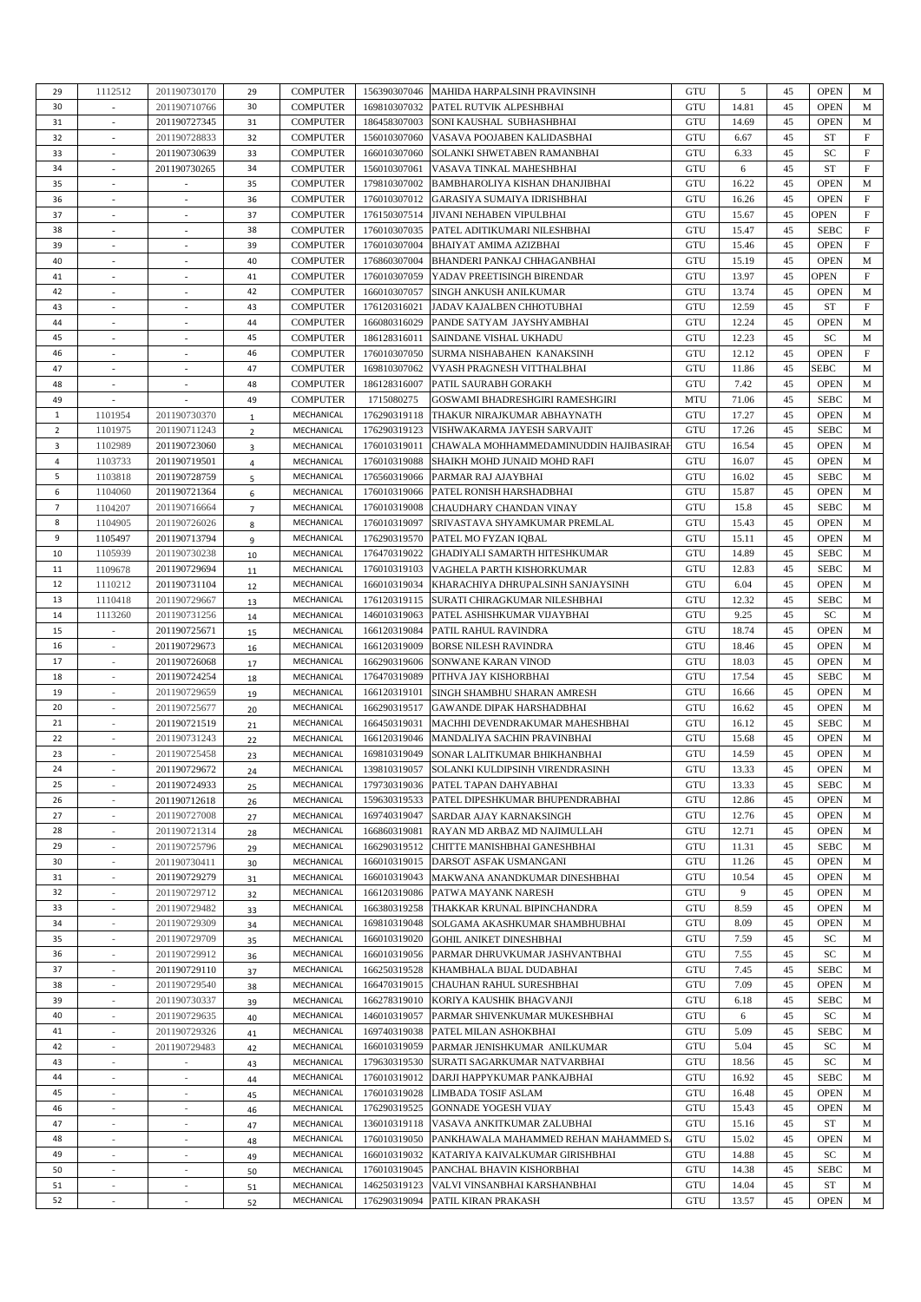| 29             | 1112512                  | 201190730170             | 29             | <b>COMPUTER</b> |              | 156390307046 MAHIDA HARPALSINH PRAVINSINH    | GTU        | 5     | 45 | <b>OPEN</b> | M          |
|----------------|--------------------------|--------------------------|----------------|-----------------|--------------|----------------------------------------------|------------|-------|----|-------------|------------|
| 30             |                          | 201190710766             | 30             | <b>COMPUTER</b> | 169810307032 | PATEL RUTVIK ALPESHBHAI                      | GTU        | 14.81 | 45 | <b>OPEN</b> | M          |
| 31             | $\overline{\phantom{a}}$ | 201190727345             | 31             | <b>COMPUTER</b> | 186458307003 | SONI KAUSHAL SUBHASHBHAI                     | GTU        | 14.69 | 45 | <b>OPEN</b> | M          |
|                |                          |                          |                |                 |              |                                              |            |       |    |             |            |
| 32             |                          | 201190728833             | 32             | <b>COMPUTER</b> | 156010307060 | VASAVA POOJABEN KALIDASBHAI                  | GTU        | 6.67  | 45 | ST          | F          |
| 33             |                          | 201190730639             | 33             | <b>COMPUTER</b> | 166010307060 | SOLANKI SHWETABEN RAMANBHAI                  | GTU        | 6.33  | 45 | SC          | F          |
| 34             | $\sim$                   | 201190730265             | 34             | <b>COMPUTER</b> | 156010307061 | VASAVA TINKAL MAHESHBHAI                     | GTU        | 6     | 45 | ST          | F          |
|                |                          |                          |                |                 |              |                                              |            |       |    |             |            |
| 35             | $\overline{\phantom{a}}$ |                          | 35             | <b>COMPUTER</b> | 179810307002 | <b>BAMBHAROLIYA KISHAN DHANJIBHAI</b>        | GTU        | 16.22 | 45 | <b>OPEN</b> | M          |
| 36             |                          |                          | 36             | <b>COMPUTER</b> | 176010307012 | <b>GARASIYA SUMAIYA IDRISHBHAI</b>           | GTU        | 16.26 | 45 | <b>OPEN</b> | F          |
| 37             | $\overline{\phantom{a}}$ | $\overline{\phantom{a}}$ | 37             | <b>COMPUTER</b> | 176150307514 | JIVANI NEHABEN VIPULBHAI                     | GTU        | 15.67 | 45 | OPEN        | F          |
|                |                          |                          |                |                 |              |                                              |            |       |    |             |            |
| 38             | $\overline{\phantom{a}}$ | $\overline{a}$           | 38             | <b>COMPUTER</b> | 176010307035 | PATEL ADITIKUMARI NILESHBHAI                 | GTU        | 15.47 | 45 | <b>SEBC</b> | F          |
| 39             |                          |                          | 39             | <b>COMPUTER</b> | 176010307004 | BHAIYAT AMIMA AZIZBHAI                       | GTU        | 15.46 | 45 | <b>OPEN</b> | F          |
| 40             | $\sim$                   | $\overline{\phantom{a}}$ | 40             | <b>COMPUTER</b> | 176860307004 | BHANDERI PANKAJ CHHAGANBHAI                  | GTU        | 15.19 | 45 | <b>OPEN</b> | M          |
|                |                          |                          |                |                 |              |                                              |            |       |    |             |            |
| 41             | $\overline{\phantom{a}}$ | $\overline{\phantom{a}}$ | 41             | <b>COMPUTER</b> | 176010307059 | YADAV PREETISINGH BIRENDAR                   | GTU        | 13.97 | 45 | <b>OPEN</b> | $_{\rm F}$ |
| 42             | $\overline{\phantom{a}}$ | $\overline{\phantom{a}}$ | 42             | <b>COMPUTER</b> | 166010307057 | SINGH ANKUSH ANILKUMAR                       | GTU        | 13.74 | 45 | <b>OPEN</b> | M          |
| 43             | $\overline{\phantom{a}}$ | $\overline{\phantom{a}}$ | 43             | <b>COMPUTER</b> | 176120316021 | JADAV KAJALBEN CHHOTUBHAI                    | GTU        | 12.59 | 45 | ST          | F          |
|                |                          |                          |                |                 |              |                                              |            |       |    |             |            |
| 44             | ٠                        | $\overline{a}$           | 44             | <b>COMPUTER</b> | 166080316029 | PANDE SATYAM JAYSHYAMBHAI                    | GTU        | 12.24 | 45 | <b>OPEN</b> | M          |
| 45             | $\overline{\phantom{a}}$ | $\overline{\phantom{a}}$ | 45             | <b>COMPUTER</b> | 186128316011 | SAINDANE VISHAL UKHADU                       | GTU        | 12.23 | 45 | SC          | M          |
| 46             | $\sim$                   | $\overline{\phantom{a}}$ | 46             | <b>COMPUTER</b> | 176010307050 | SURMA NISHABAHEN KANAKSINH                   | GTU        | 12.12 | 45 | <b>OPEN</b> | F          |
|                |                          |                          |                |                 |              |                                              |            |       |    |             |            |
| 47             | $\overline{\phantom{a}}$ | $\overline{\phantom{a}}$ | 47             | <b>COMPUTER</b> | 169810307062 | VYASH PRAGNESH VITTHALBHAI                   | GTU        | 11.86 | 45 | <b>SEBC</b> | M          |
| 48             | $\sim$                   | $\overline{\phantom{a}}$ | 48             | <b>COMPUTER</b> | 186128316007 | PATIL SAURABH GORAKH                         | GTU        | 7.42  | 45 | <b>OPEN</b> | M          |
| 49             | $\overline{\phantom{a}}$ | $\overline{\phantom{a}}$ | 49             | <b>COMPUTER</b> | 1715080275   | GOSWAMI BHADRESHGIRI RAMESHGIRI              | MTU        | 71.06 | 45 | <b>SEBC</b> | M          |
|                |                          |                          |                |                 |              |                                              |            |       |    |             |            |
| $\mathbf{1}$   | 1101954                  | 201190730370             | $\mathbf{1}$   | MECHANICAL      | 176290319118 | THAKUR NIRAJKUMAR ABHAYNATH                  | GTU        | 17.27 | 45 | <b>OPEN</b> | M          |
| $\overline{2}$ | 1101975                  | 201190711243             | $\overline{2}$ | MECHANICAL      | 176290319123 | VISHWAKARMA JAYESH SARVAJIT                  | GTU        | 17.26 | 45 | <b>SEBC</b> | M          |
| 3              | 1102989                  | 201190723060             |                | MECHANICAL      | 176010319011 | CHAWALA MOHHAMMEDAMINUDDIN HAJIBASIRAI       | GTU        | 16.54 | 45 | <b>OPEN</b> | M          |
|                |                          |                          | 3              |                 |              |                                              |            |       |    |             |            |
| $\overline{4}$ | 1103733                  | 201190719501             | 4              | MECHANICAL      | 176010319088 | SHAIKH MOHD JUNAID MOHD RAFI                 | GTU        | 16.07 | 45 | <b>OPEN</b> | M          |
| 5              | 1103818                  | 201190728759             | 5              | MECHANICAL      | 176560319066 | PARMAR RAJ AJAYBHAI                          | GTU        | 16.02 | 45 | <b>SEBC</b> | M          |
| 6              | 1104060                  | 201190721364             |                | MECHANICAL      | 176010319066 | PATEL RONISH HARSHADBHAI                     | GTU        | 15.87 | 45 | <b>OPEN</b> | M          |
|                |                          |                          | 6              |                 |              |                                              |            |       |    |             |            |
| 7              | 1104207                  | 201190716664             | $\overline{7}$ | MECHANICAL      | 176010319008 | CHAUDHARY CHANDAN VINAY                      | GTU        | 15.8  | 45 | <b>SEBC</b> | M          |
| 8              | 1104905                  | 201190726026             | 8              | MECHANICAL      | 176010319097 | SRIVASTAVA SHYAMKUMAR PREMLAL                | GTU        | 15.43 | 45 | <b>OPEN</b> | M          |
| 9              | 1105497                  | 201190713794             |                | MECHANICAL      | 176290319570 | PATEL MO FYZAN IQBAL                         | GTU        | 15.11 | 45 | <b>OPEN</b> | M          |
|                |                          |                          | 9              |                 |              |                                              |            |       |    |             |            |
| 10             | 1105939                  | 201190730238             | 10             | MECHANICAL      | 176470319022 | GHADIYALI SAMARTH HITESHKUMAR                | GTU        | 14.89 | 45 | <b>SEBC</b> | M          |
| 11             | 1109678                  | 201190729694             | 11             | MECHANICAL      | 176010319103 | VAGHELA PARTH KISHORKUMAR                    | GTU        | 12.83 | 45 | <b>SEBC</b> | M          |
| 12             | 1110212                  | 201190731104             |                | MECHANICAL      | 166010319034 | KHARACHIYA DHRUPALSINH SANJAYSINH            | GTU        | 6.04  | 45 | <b>OPEN</b> | M          |
|                |                          |                          | 12             |                 |              |                                              |            |       |    |             |            |
| 13             | 1110418                  | 201190729667             | 13             | MECHANICAL      | 176120319115 | SURATI CHIRAGKUMAR NILESHBHAI                | GTU        | 12.32 | 45 | <b>SEBC</b> | M          |
| 14             | 1113260                  | 201190731256             | 14             | MECHANICAL      | 146010319063 | PATEL ASHISHKUMAR VIJAYBHAI                  | GTU        | 9.25  | 45 | SC          | M          |
| 15             |                          | 201190725671             |                | MECHANICAL      | 166120319084 | PATIL RAHUL RAVINDRA                         | GTU        | 18.74 | 45 | <b>OPEN</b> | M          |
|                |                          |                          | 15             |                 |              |                                              |            |       |    |             |            |
| 16             | $\overline{\phantom{a}}$ | 201190729673             | 16             | MECHANICAL      | 166120319009 | <b>BORSE NILESH RAVINDRA</b>                 | GTU        | 18.46 | 45 | <b>OPEN</b> | M          |
| 17             | $\overline{\phantom{a}}$ | 201190726068             | 17             | MECHANICAL      | 166290319606 | SONWANE KARAN VINOD                          | GTU        | 18.03 | 45 | <b>OPEN</b> | M          |
| 18             |                          | 201190724254             |                | MECHANICAL      | 176470319089 | PITHVA JAY KISHORBHAI                        | GTU        | 17.54 | 45 | <b>SEBC</b> | M          |
|                |                          |                          | 18             |                 |              |                                              |            |       |    |             |            |
| 19             |                          | 201190729659             | 19             | MECHANICAL      | 166120319101 | SINGH SHAMBHU SHARAN AMRESH                  | GTU        | 16.66 | 45 | <b>OPEN</b> | M          |
| 20             | $\overline{\phantom{a}}$ | 201190725677             | 20             | MECHANICAL      | 166290319517 | <b>GAWANDE DIPAK HARSHADBHAI</b>             | <b>GTU</b> | 16.62 | 45 | <b>OPEN</b> | M          |
|                | $\overline{\phantom{a}}$ | 201190721519             |                |                 |              | MACHHI DEVENDRAKUMAR MAHESHBHAI              | GTU        | 16.12 | 45 | <b>SEBC</b> | M          |
| 21             |                          |                          | 21             | MECHANICAL      | 166450319031 |                                              |            |       |    |             |            |
| 22             |                          | 201190731243             | 22             | MECHANICAL      | 166120319046 | MANDALIYA SACHIN PRAVINBHAI                  | <b>GTU</b> | 15.68 | 45 | <b>OPEN</b> | M          |
| 23             | $\overline{\phantom{a}}$ | 201190725458             | 23             | MECHANICAL      | 169810319049 | SONAR LALITKUMAR BHIKHANBHAI                 | <b>GTU</b> | 14.59 | 45 | <b>OPEN</b> | M          |
| 24             | $\sim$                   | 201190729672             |                | MECHANICAL      |              | 139810319057 SOLANKI KULDIPSINH VIRENDRASINH | GTU        | 13.33 | 45 | <b>OPEN</b> | M          |
|                |                          |                          | 24             |                 |              |                                              |            |       |    |             |            |
| 25             | $\overline{\phantom{a}}$ | 201190724933             | 25             | MECHANICAL      |              | 179730319036 PATEL TAPAN DAHYABHAI           | GTU        | 13.33 | 45 | <b>SEBC</b> | М          |
| 26             | $\overline{\phantom{a}}$ | 201190712618             | 26             | MECHANICAL      | 159630319533 | PATEL DIPESHKUMAR BHUPENDRABHAI              | GTU        | 12.86 | 45 | <b>OPEN</b> | M          |
| 27             | $\sim$                   | 201190727008             |                | MECHANICAL      | 169740319047 |                                              | GTU        | 12.76 | 45 | <b>OPEN</b> | M          |
|                |                          |                          | 27             |                 |              | SARDAR AJAY KARNAKSINGH                      |            |       |    |             |            |
| 28             |                          | 201190721314             | 28             | MECHANICAL      | 166860319081 | RAYAN MD ARBAZ MD NAJIMULLAH                 | GTU        | 12.71 | 45 | <b>OPEN</b> | M          |
| 29             | $\sim$                   | 201190725796             | 29             | MECHANICAL      | 166290319512 | CHITTE MANISHBHAI GANESHBHAI                 | GTU        | 11.31 | 45 | <b>SEBC</b> | M          |
| 30             | $\sim$                   | 201190730411             |                | MECHANICAL      | 166010319015 | DARSOT ASFAK USMANGANI                       | GTU        | 11.26 | 45 | <b>OPEN</b> | M          |
|                |                          |                          | 30             |                 |              |                                              |            |       |    |             |            |
| 31             |                          | 201190729279             | 31             | MECHANICAL      | 166010319043 | MAKWANA ANANDKUMAR DINESHBHAI                | <b>GTU</b> | 10.54 | 45 | <b>OPEN</b> | M          |
| 32             | $\sim$                   | 201190729712             | 32             | MECHANICAL      | 166120319086 | PATWA MAYANK NARESH                          | GTU        | 9     | 45 | <b>OPEN</b> | M          |
| 33             |                          | 201190729482             | 33             | MECHANICAL      | 166380319258 | THAKKAR KRUNAL BIPINCHANDRA                  | GTU        | 8.59  | 45 | <b>OPEN</b> | M          |
|                |                          |                          |                |                 |              |                                              |            |       |    |             |            |
| 34             |                          | 201190729309             | 34             | MECHANICAL      | 169810319048 | SOLGAMA AKASHKUMAR SHAMBHUBHAI               | <b>GTU</b> | 8.09  | 45 | <b>OPEN</b> | M          |
| 35             | $\overline{\phantom{a}}$ | 201190729709             | 35             | MECHANICAL      | 166010319020 | <b>GOHIL ANIKET DINESHBHAI</b>               | GTU        | 7.59  | 45 | SC          | M          |
| 36             |                          | 201190729912             | 36             | MECHANICAL      | 166010319056 | PARMAR DHRUVKUMAR JASHVANTBHAI               | GTU        | 7.55  | 45 | SC          | M          |
|                |                          |                          |                |                 |              |                                              |            |       |    |             |            |
| 37             |                          | 201190729110             | 37             | MECHANICAL      | 166250319528 | KHAMBHALA BIJAL DUDABHAI                     | <b>GTU</b> | 7.45  | 45 | <b>SEBC</b> | M          |
| 38             | $\overline{\phantom{a}}$ | 201190729540             | 38             | MECHANICAL      | 166470319015 | CHAUHAN RAHUL SURESHBHAI                     | GTU        | 7.09  | 45 | <b>OPEN</b> | M          |
| 39             |                          | 201190730337             | 39             | MECHANICAL      | 166278319010 | KORIYA KAUSHIK BHAGVANJI                     | GTU        | 6.18  | 45 | <b>SEBC</b> | M          |
|                |                          |                          |                |                 |              |                                              |            |       |    |             |            |
| 40             |                          | 201190729635             | 40             | MECHANICAL      | 146010319057 | PARMAR SHIVENKUMAR MUKESHBHAI                | GTU        | 6     | 45 | SC          | M          |
| 41             | $\sim$                   | 201190729326             | 41             | MECHANICAL      | 169740319038 | PATEL MILAN ASHOKBHAI                        | GTU        | 5.09  | 45 | <b>SEBC</b> | M          |
| 42             |                          | 201190729483             | 42             | MECHANICAL      | 166010319059 | PARMAR JENISHKUMAR ANILKUMAR                 | GTU        | 5.04  | 45 | SC          | M          |
|                |                          |                          |                |                 |              |                                              |            |       |    |             |            |
| 43             |                          |                          | 43             | MECHANICAL      | 179630319530 | SURATI SAGARKUMAR NATVARBHAI                 | GTU        | 18.56 | 45 | SC          | M          |
| 44             | $\overline{\phantom{a}}$ | $\overline{\phantom{a}}$ | 44             | MECHANICAL      | 176010319012 | DARJI HAPPYKUMAR PANKAJBHAI                  | GTU        | 16.92 | 45 | <b>SEBC</b> | M          |
| 45             | $\overline{\phantom{a}}$ | $\overline{\phantom{a}}$ |                | MECHANICAL      | 176010319028 | LIMBADA TOSIF ASLAM                          | GTU        | 16.48 | 45 | <b>OPEN</b> | M          |
|                |                          |                          | 45             |                 |              |                                              |            |       |    |             |            |
| 46             |                          |                          | 46             | MECHANICAL      | 176290319525 | <b>GONNADE YOGESH VIJAY</b>                  | GTU        | 15.43 | 45 | <b>OPEN</b> | M          |
| 47             | $\sim$                   | $\overline{\phantom{a}}$ | 47             | MECHANICAL      | 136010319118 | VASAVA ANKITKUMAR ZALUBHAI                   | <b>GTU</b> | 15.16 | 45 | ST          | M          |
| 48             | $\overline{\phantom{a}}$ | $\overline{\phantom{m}}$ |                | MECHANICAL      | 176010319050 | PANKHAWALA MAHAMMED REHAN MAHAMMED S         | GTU        | 15.02 | 45 | <b>OPEN</b> | M          |
|                |                          |                          | 48             |                 |              |                                              |            |       |    |             |            |
| 49             |                          |                          | 49             | MECHANICAL      |              | 166010319032 KATARIYA KAIVALKUMAR GIRISHBHAI | GTU        | 14.88 | 45 | SC          | M          |
| 50             | $\sim$                   | $\overline{\phantom{a}}$ | 50             | MECHANICAL      | 176010319045 | PANCHAL BHAVIN KISHORBHAI                    | GTU        | 14.38 | 45 | <b>SEBC</b> | M          |
| 51             | $\overline{\phantom{a}}$ | $\overline{\phantom{m}}$ |                | MECHANICAL      | 146250319123 | VALVI VINSANBHAI KARSHANBHAI                 | GTU        | 14.04 | 45 | ST          | M          |
|                |                          |                          | 51             |                 |              |                                              |            |       |    |             |            |
| 52             | $\overline{\phantom{a}}$ |                          | 52             | MECHANICAL      | 176290319094 | PATIL KIRAN PRAKASH                          | GTU        | 13.57 | 45 | <b>OPEN</b> | M          |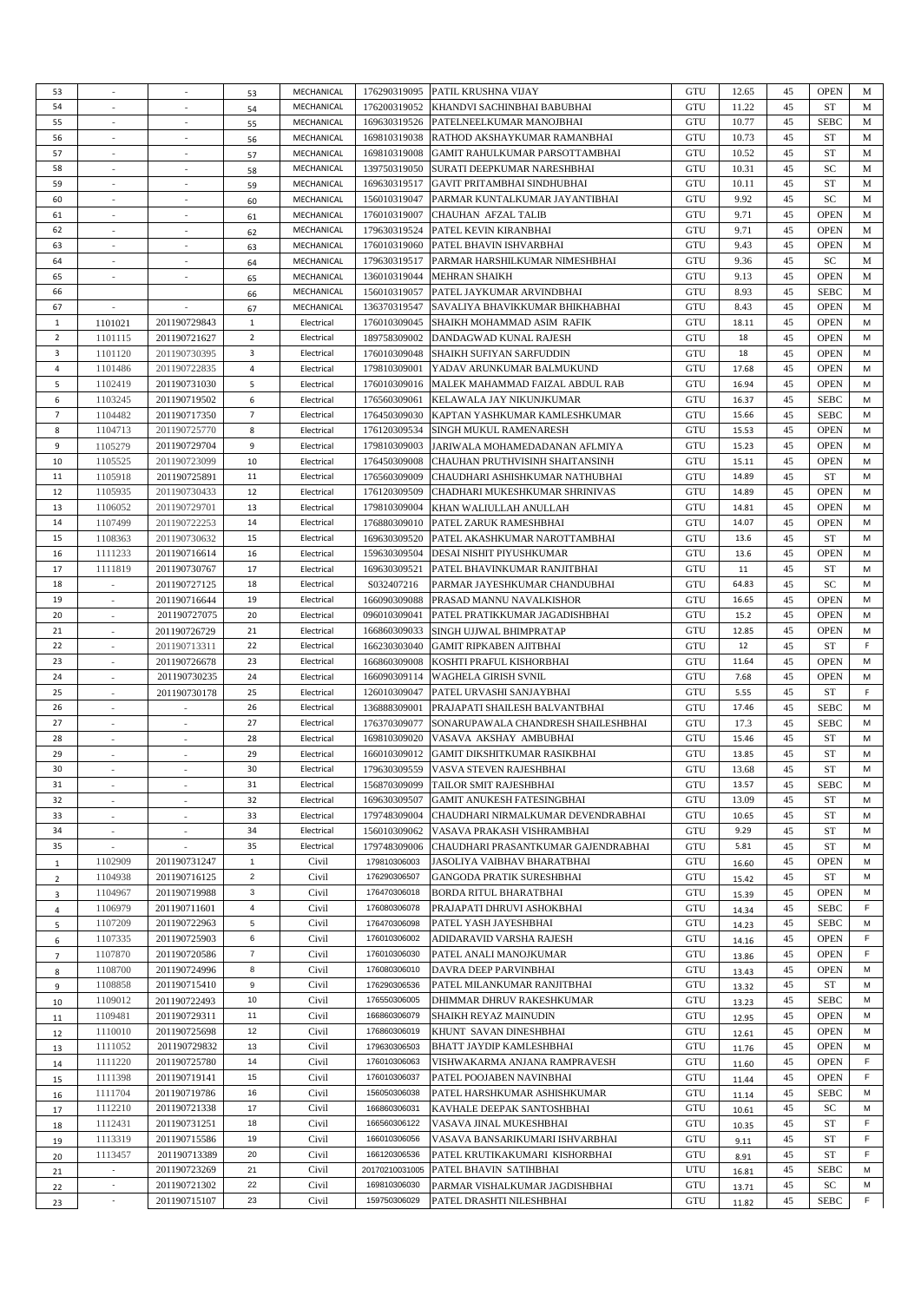| 53             |                             | $\sim$                      | 53             | MECHANICAL |                | 176290319095 PATIL KRUSHNA VIJAY    | GTU | 12.65 | 45 | <b>OPEN</b> | M  |
|----------------|-----------------------------|-----------------------------|----------------|------------|----------------|-------------------------------------|-----|-------|----|-------------|----|
| 54             |                             |                             | 54             | MECHANICAL | 176200319052   | KHANDVI SACHINBHAI BABUBHAI         | GTU | 11.22 | 45 | <b>ST</b>   | M  |
| 55             | $\overline{\phantom{a}}$    | $\sim$                      |                | MECHANICAL | 169630319526   | PATELNEELKUMAR MANOJBHAI            | GTU | 10.77 | 45 | <b>SEBC</b> | M  |
| 56             | $\sim$                      | $\sim$                      | 55             | MECHANICAL | 169810319038   |                                     | GTU |       | 45 | ST          | M  |
|                |                             |                             | 56             |            |                | RATHOD AKSHAYKUMAR RAMANBHAI        |     | 10.73 |    |             |    |
| 57             |                             |                             | 57             | MECHANICAL | 169810319008   | GAMIT RAHULKUMAR PARSOTTAMBHAI      | GTU | 10.52 | 45 | <b>ST</b>   | M  |
| 58             | $\sim$                      | $\sim$                      | 58             | MECHANICAL | 139750319050   | SURATI DEEPKUMAR NARESHBHAI         | GTU | 10.31 | 45 | SC          | M  |
| 59             | $\sim$                      | $\overline{\phantom{a}}$    | 59             | MECHANICAL | 169630319517   | <b>GAVIT PRITAMBHAI SINDHUBHAI</b>  | GTU | 10.11 | 45 | <b>ST</b>   | M  |
| 60             |                             |                             | 60             | MECHANICAL | 156010319047   | PARMAR KUNTALKUMAR JAYANTIBHAI      | GTU | 9.92  | 45 | SC          | M  |
| 61             | $\overline{\phantom{a}}$    | $\sim$                      | 61             | MECHANICAL | 176010319007   | CHAUHAN AFZAL TALIB                 | GTU | 9.71  | 45 | <b>OPEN</b> | M  |
| 62             | $\sim$                      | $\overline{a}$              | 62             | MECHANICAL | 179630319524   | PATEL KEVIN KIRANBHAI               | GTU | 9.71  | 45 | <b>OPEN</b> | M  |
| 63             |                             |                             | 63             | MECHANICAL | 176010319060   | PATEL BHAVIN ISHVARBHAI             | GTU | 9.43  | 45 | <b>OPEN</b> | M  |
| 64             | $\sim$                      | $\sim$                      | 64             | MECHANICAL | 179630319517   | PARMAR HARSHILKUMAR NIMESHBHAI      | GTU | 9.36  | 45 | SC          | M  |
| 65             | $\sim$                      | $\sim$                      | 65             | MECHANICAL | 136010319044   | <b>MEHRAN SHAIKH</b>                | GTU | 9.13  | 45 | <b>OPEN</b> | M  |
| 66             |                             |                             |                | MECHANICAL | 156010319057   | PATEL JAYKUMAR ARVINDBHAI           | GTU | 8.93  | 45 | <b>SEBC</b> | M  |
|                |                             |                             | 66             |            |                |                                     |     |       |    |             |    |
| 67             | $\sim$                      | $\sim$                      | 67             | MECHANICAL | 136370319547   | SAVALIYA BHAVIKKUMAR BHIKHABHAI     | GTU | 8.43  | 45 | <b>OPEN</b> | M  |
| $\mathbf{1}$   | 1101021                     | 201190729843                | $\mathbf{1}$   | Electrical | 176010309045   | SHAIKH MOHAMMAD ASIM RAFIK          | GTU | 18.11 | 45 | <b>OPEN</b> | M  |
| $\overline{2}$ | 1101115                     | 201190721627                | $\overline{2}$ | Electrical | 189758309002   | DANDAGWAD KUNAL RAJESH              | GTU | 18    | 45 | <b>OPEN</b> | М  |
| 3              | 1101120                     | 201190730395                | 3              | Electrical | 176010309048   | SHAIKH SUFIYAN SARFUDDIN            | GTU | 18    | 45 | <b>OPEN</b> | M  |
| 4              | 1101486                     | 201190722835                | $\overline{4}$ | Electrical | 179810309001   | YADAV ARUNKUMAR BALMUKUND           | GTU | 17.68 | 45 | <b>OPEN</b> | M  |
| 5              | 1102419                     | 201190731030                | 5              | Electrical | 176010309016   | MALEK MAHAMMAD FAIZAL ABDUL RAB     | GTU | 16.94 | 45 | <b>OPEN</b> | M  |
| 6              | 1103245                     | 201190719502                | 6              | Electrical | 176560309061   | KELAWALA JAY NIKUNJKUMAR            | GTU | 16.37 | 45 | <b>SEBC</b> | M  |
| 7              | 1104482                     | 201190717350                | $\overline{7}$ | Electrical | 176450309030   | KAPTAN YASHKUMAR KAMLESHKUMAR       | GTU | 15.66 | 45 | <b>SEBC</b> | M  |
| 8              | 1104713                     | 201190725770                | 8              | Electrical | 176120309534   | SINGH MUKUL RAMENARESH              | GTU | 15.53 | 45 | <b>OPEN</b> | M  |
| 9              | 1105279                     | 201190729704                | 9              | Electrical | 179810309003   |                                     | GTU | 15.23 | 45 | <b>OPEN</b> | M  |
|                |                             |                             |                |            |                | JARIWALA MOHAMEDADANAN AFLMIYA      |     |       |    |             |    |
| 10             | 1105525                     | 201190723099                | 10             | Electrical | 176450309008   | CHAUHAN PRUTHVISINH SHAITANSINH     | GTU | 15.11 | 45 | <b>OPEN</b> | M  |
| 11             | 1105918                     | 201190725891                | 11             | Electrical | 176560309009   | CHAUDHARI ASHISHKUMAR NATHUBHAI     | GTU | 14.89 | 45 | ST          | M  |
| 12             | 1105935                     | 201190730433                | 12             | Electrical | 176120309509   | CHADHARI MUKESHKUMAR SHRINIVAS      | GTU | 14.89 | 45 | <b>OPEN</b> | М  |
| 13             | 1106052                     | 201190729701                | 13             | Electrical | 179810309004   | KHAN WALIULLAH ANULLAH              | GTU | 14.81 | 45 | <b>OPEN</b> | M  |
| 14             | 1107499                     | 201190722253                | 14             | Electrical | 176880309010   | PATEL ZARUK RAMESHBHAI              | GTU | 14.07 | 45 | <b>OPEN</b> | M  |
| 15             | 1108363                     | 201190730632                | 15             | Electrical | 169630309520   | PATEL AKASHKUMAR NAROTTAMBHAI       | GTU | 13.6  | 45 | ST          | M  |
| 16             | 1111233                     | 201190716614                | 16             | Electrical | 159630309504   | DESAI NISHIT PIYUSHKUMAR            | GTU | 13.6  | 45 | <b>OPEN</b> | M  |
| 17             | 1111819                     | 201190730767                | 17             | Electrical | 169630309521   | PATEL BHAVINKUMAR RANJITBHAI        | GTU | 11    | 45 | ST          | M  |
| 18             |                             | 201190727125                | 18             | Electrical | S032407216     | PARMAR JAYESHKUMAR CHANDUBHAI       | GTU | 64.83 | 45 | SC          | M  |
|                | $\sim$                      |                             |                |            |                |                                     |     |       |    |             |    |
| 19             |                             | 201190716644                | 19             | Electrical | 166090309088   | PRASAD MANNU NAVALKISHOR            | GTU | 16.65 | 45 | <b>OPEN</b> | M  |
| 20             | $\sim$                      | 201190727075                | 20             | Electrical | 096010309041   | PATEL PRATIKKUMAR JAGADISHBHAI      | GTU | 15.2  | 45 | <b>OPEN</b> | M  |
| 21             | $\overline{\phantom{a}}$    | 201190726729                | 21             | Electrical | 166860309033   | SINGH UJJWAL BHIMPRATAP             | GTU | 12.85 | 45 | <b>OPEN</b> | M  |
| 22             | $\overline{\phantom{a}}$    | 201190713311                | 22             | Electrical | 166230303040   | <b>GAMIT RIPKABEN AJITBHAI</b>      | GTU | 12    | 45 | ST          | F  |
| 23             | $\sim$                      | 201190726678                | 23             | Electrical | 166860309008   | KOSHTI PRAFUL KISHORBHAI            | GTU | 11.64 | 45 | <b>OPEN</b> | M  |
| 24             | $\overline{\phantom{a}}$    | 201190730235                | 24             | Electrical | 166090309114   | <b>WAGHELA GIRISH SVNIL</b>         | GTU | 7.68  | 45 | <b>OPEN</b> | M  |
| 25             | $\overline{\phantom{a}}$    | 201190730178                | 25             | Electrical | 126010309047   | PATEL URVASHI SANJAYBHAI            | GTU | 5.55  | 45 | ST          | F. |
| 26             | $\overline{\phantom{a}}$    |                             | 26             | Electrical | 136888309001   | PRAJAPATI SHAILESH BALVANTBHAI      | GTU | 17.46 | 45 | <b>SEBC</b> | M  |
| 27             | $\overline{\phantom{a}}$    | $\overline{\phantom{a}}$    | 27             | Electrical | 176370309077   | SONARUPAWALA CHANDRESH SHAILESHBHAI | GTU | 17.3  | 45 | <b>SEBC</b> | M  |
| 28             |                             |                             | 28             | Electrical | 169810309020   | VASAVA AKSHAY AMBUBHAI              | GTU | 15.46 |    | ST          | M  |
|                | $\overline{\phantom{a}}$    |                             |                |            |                |                                     |     |       | 45 |             |    |
| 29             | $\mathcal{L}_{\mathcal{A}}$ | $\mathcal{L}_{\mathcal{A}}$ | 29             | Electrical | 166010309012   | <b>GAMIT DIKSHITKUMAR RASIKBHAI</b> | GTU | 13.85 | 45 | ST          | M  |
| 30             |                             |                             | 30             | Electrical | 179630309559   | VASVA STEVEN RAJESHBHAI             | GTU | 13.68 | 45 | ${\rm ST}$  | M  |
| 31             | $\sim$                      | $\overline{\phantom{a}}$    | 31             | Electrical | 156870309099   | <b>TAILOR SMIT RAJESHBHAI</b>       | GTU | 13.57 | 45 | <b>SEBC</b> | M  |
| 32             | $\overline{\phantom{a}}$    | $\mathcal{L}_{\mathcal{A}}$ | 32             | Electrical | 169630309507   | <b>GAMIT ANUKESH FATESINGBHAI</b>   | GTU | 13.09 | 45 | ST          | M  |
| 33             | $\overline{\phantom{a}}$    | $\overline{\phantom{a}}$    | 33             | Electrical | 179748309004   | CHAUDHARI NIRMALKUMAR DEVENDRABHAI  | GTU | 10.65 | 45 | <b>ST</b>   | M  |
| 34             | $\sim$                      | $\overline{\phantom{a}}$    | 34             | Electrical | 156010309062   | VASAVA PRAKASH VISHRAMBHAI          | GTU | 9.29  | 45 | ST          | M  |
| 35             | $\overline{\phantom{a}}$    | $\mathcal{L}_{\mathcal{A}}$ | 35             | Electrical | 179748309006   | CHAUDHARI PRASANTKUMAR GAJENDRABHAI | GTU | 5.81  | 45 | ST          | M  |
| $\mathbf{1}$   | 1102909                     | 201190731247                | $\mathbf{1}$   | Civil      | 179810306003   | JASOLIYA VAIBHAV BHARATBHAI         | GTU | 16.60 | 45 | <b>OPEN</b> | м  |
|                | 1104938                     | 201190716125                | $\overline{2}$ | Civil      | 176290306507   | <b>GANGODA PRATIK SURESHBHAI</b>    | GTU |       | 45 | ST          | м  |
| $\overline{2}$ | 1104967                     | 201190719988                | 3              | Civil      | 176470306018   | BORDA RITUL BHARATBHAI              | GTU | 15.42 | 45 | <b>OPEN</b> | м  |
| 3              |                             |                             |                |            |                |                                     |     | 15.39 |    |             |    |
| $\overline{4}$ | 1106979                     | 201190711601                | 4              | Civil      | 176080306078   | PRAJAPATI DHRUVI ASHOKBHAI          | GTU | 14.34 | 45 | <b>SEBC</b> | F  |
| 5              | 1107209                     | 201190722963                | 5              | Civil      | 176470306098   | PATEL YASH JAYESHBHAI               | GTU | 14.23 | 45 | <b>SEBC</b> | М  |
| 6              | 1107335                     | 201190725903                | 6              | Civil      | 176010306002   | ADIDARAVID VARSHA RAJESH            | GTU | 14.16 | 45 | <b>OPEN</b> | F  |
| $\overline{7}$ | 1107870                     | 201190720586                | $\overline{7}$ | Civil      | 176010306030   | PATEL ANALI MANOJKUMAR              | GTU | 13.86 | 45 | <b>OPEN</b> | F  |
| 8              | 1108700                     | 201190724996                | 8              | Civil      | 176080306010   | DAVRA DEEP PARVINBHAI               | GTU | 13.43 | 45 | <b>OPEN</b> | М  |
| 9              | 1108858                     | 201190715410                | 9              | Civil      | 176290306536   | PATEL MILANKUMAR RANJITBHAI         | GTU | 13.32 | 45 | ST          | м  |
| 10             | 1109012                     | 201190722493                | 10             | Civil      | 176550306005   | DHIMMAR DHRUV RAKESHKUMAR           | GTU | 13.23 | 45 | <b>SEBC</b> | М  |
| 11             | 1109481                     | 201190729311                | 11             | Civil      | 166860306079   | SHAIKH REYAZ MAINUDIN               | GTU | 12.95 | 45 | <b>OPEN</b> | М  |
| 12             | 1110010                     | 201190725698                | 12             | Civil      | 176860306019   | KHUNT SAVAN DINESHBHAI              | GTU | 12.61 | 45 | <b>OPEN</b> | м  |
|                | 1111052                     | 201190729832                | 13             |            | 179630306503   | BHATT JAYDIP KAMLESHBHAI            | GTU |       | 45 | <b>OPEN</b> | М  |
| 13             |                             |                             |                | Civil      |                |                                     |     | 11.76 |    |             |    |
| 14             | 1111220                     | 201190725780                | 14             | Civil      | 176010306063   | VISHWAKARMA ANJANA RAMPRAVESH       | GTU | 11.60 | 45 | <b>OPEN</b> | F  |
| 15             | 1111398                     | 201190719141                | 15             | Civil      | 176010306037   | PATEL POOJABEN NAVINBHAI            | GTU | 11.44 | 45 | <b>OPEN</b> | F  |
| 16             | 1111704                     | 201190719786                | 16             | Civil      | 156050306038   | PATEL HARSHKUMAR ASHISHKUMAR        | GTU | 11.14 | 45 | <b>SEBC</b> | М  |
| 17             | 1112210                     | 201190721338                | 17             | Civil      | 166860306031   | KAVHALE DEEPAK SANTOSHBHAI          | GTU | 10.61 | 45 | SC          | М  |
| 18             | 1112431                     | 201190731251                | 18             | Civil      | 166560306122   | VASAVA JINAL MUKESHBHAI             | GTU | 10.35 | 45 | ST          | F  |
| 19             | 1113319                     | 201190715586                | 19             | Civil      | 166010306056   | VASAVA BANSARIKUMARI ISHVARBHAI     | GTU | 9.11  | 45 | ST          | F  |
| 20             | 1113457                     | 201190713389                | 20             | Civil      | 166120306536   | PATEL KRUTIKAKUMARI KISHORBHAI      | GTU | 8.91  | 45 | <b>ST</b>   | F  |
| 21             | ٠                           | 201190723269                | 21             | Civil      | 20170210031005 | PATEL BHAVIN SATIHBHAI              | UTU | 16.81 | 45 | <b>SEBC</b> | м  |
|                | $\overline{\phantom{a}}$    | 201190721302                | 22             | Civil      | 169810306030   | PARMAR VISHALKUMAR JAGDISHBHAI      | GTU |       | 45 | SC          | м  |
| 22             | $\overline{\phantom{a}}$    |                             | 23             |            | 159750306029   |                                     |     | 13.71 | 45 |             | F  |
| 23             |                             | 201190715107                |                | Civil      |                | PATEL DRASHTI NILESHBHAI            | GTU | 11.82 |    | <b>SEBC</b> |    |